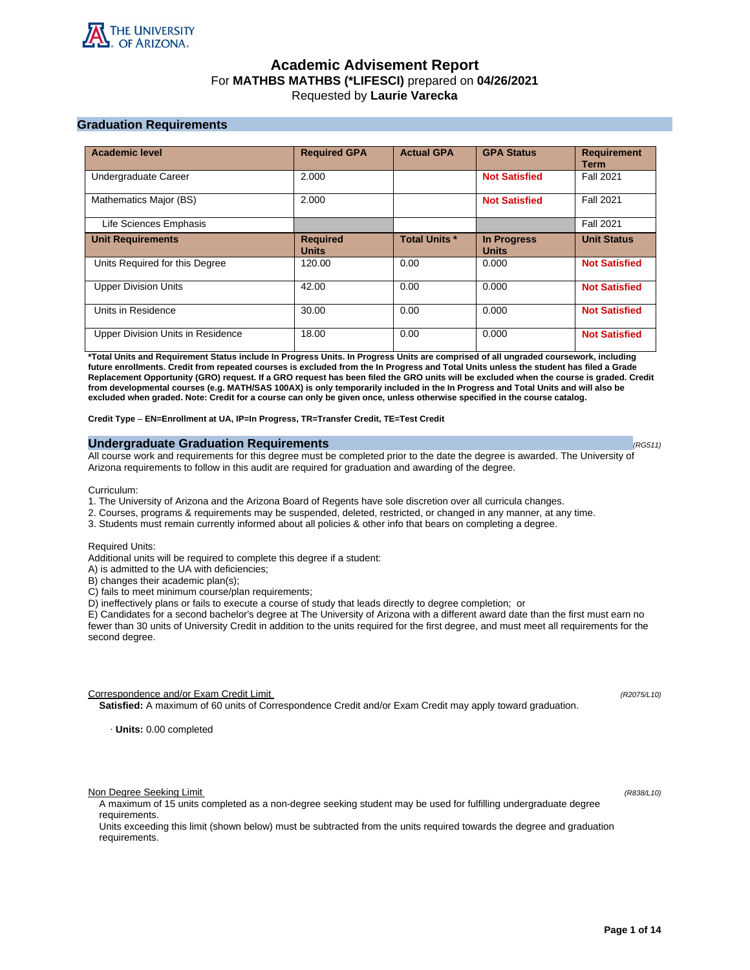

# **Academic Advisement Report** For **MATHBS MATHBS (\*LIFESCI)** prepared on **04/26/2021** Requested by **Laurie Varecka**

# **Graduation Requirements**

| <b>Academic level</b>             | <b>Required GPA</b>             | <b>Actual GPA</b>    | <b>GPA Status</b>                  | <b>Requirement</b><br><b>Term</b> |
|-----------------------------------|---------------------------------|----------------------|------------------------------------|-----------------------------------|
| Undergraduate Career              | 2.000                           |                      | <b>Not Satisfied</b>               | <b>Fall 2021</b>                  |
| Mathematics Major (BS)            | 2.000                           |                      | <b>Not Satisfied</b>               | <b>Fall 2021</b>                  |
| Life Sciences Emphasis            |                                 |                      |                                    | <b>Fall 2021</b>                  |
| <b>Unit Requirements</b>          | <b>Required</b><br><b>Units</b> | <b>Total Units *</b> | <b>In Progress</b><br><b>Units</b> | <b>Unit Status</b>                |
| Units Required for this Degree    | 120.00                          | 0.00                 | 0.000                              | <b>Not Satisfied</b>              |
| <b>Upper Division Units</b>       | 42.00                           | 0.00                 | 0.000                              | <b>Not Satisfied</b>              |
| Units in Residence                | 30.00                           | 0.00                 | 0.000                              | <b>Not Satisfied</b>              |
| Upper Division Units in Residence | 18.00                           | 0.00                 | 0.000                              | <b>Not Satisfied</b>              |

**\*Total Units and Requirement Status include In Progress Units. In Progress Units are comprised of all ungraded coursework, including future enrollments. Credit from repeated courses is excluded from the In Progress and Total Units unless the student has filed a Grade Replacement Opportunity (GRO) request. If a GRO request has been filed the GRO units will be excluded when the course is graded. Credit from developmental courses (e.g. MATH/SAS 100AX) is only temporarily included in the In Progress and Total Units and will also be excluded when graded. Note: Credit for a course can only be given once, unless otherwise specified in the course catalog.**

**Credit Type** – **EN=Enrollment at UA, IP=In Progress, TR=Transfer Credit, TE=Test Credit**

# **Undergraduate Graduation Requirements (RG511) (RG511) (RG511) (RG511)**

All course work and requirements for this degree must be completed prior to the date the degree is awarded. The University of Arizona requirements to follow in this audit are required for graduation and awarding of the degree.

Curriculum:

- 1. The University of Arizona and the Arizona Board of Regents have sole discretion over all curricula changes.
- 2. Courses, programs & requirements may be suspended, deleted, restricted, or changed in any manner, at any time.
- 3. Students must remain currently informed about all policies & other info that bears on completing a degree.

Required Units:

Additional units will be required to complete this degree if a student:

A) is admitted to the UA with deficiencies;

B) changes their academic plan(s);

C) fails to meet minimum course/plan requirements;

D) ineffectively plans or fails to execute a course of study that leads directly to degree completion; or

E) Candidates for a second bachelor's degree at The University of Arizona with a different award date than the first must earn no fewer than 30 units of University Credit in addition to the units required for the first degree, and must meet all requirements for the second degree.

Correspondence and/or Exam Credit Limit (R2075/L10) (R2075/L10)

**Satisfied:** A maximum of 60 units of Correspondence Credit and/or Exam Credit may apply toward graduation.

· **Units:** 0.00 completed

Non Degree Seeking Limit (R838/L10)

A maximum of 15 units completed as a non-degree seeking student may be used for fulfilling undergraduate degree requirements.

Units exceeding this limit (shown below) must be subtracted from the units required towards the degree and graduation requirements.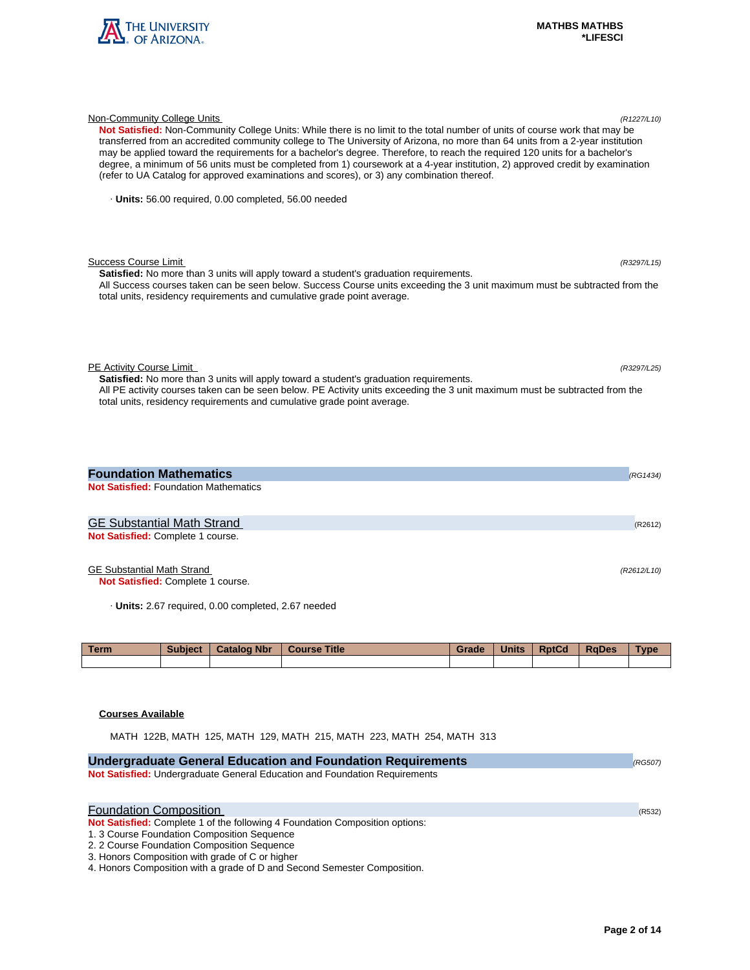

| Not Satisfied: Non-Community College Units: While there is no limit to the total number of units of course work that may be<br>transferred from an accredited community college to The University of Arizona, no more than 64 units from a 2-year institution<br>may be applied toward the requirements for a bachelor's degree. Therefore, to reach the required 120 units for a bachelor's<br>degree, a minimum of 56 units must be completed from 1) coursework at a 4-year institution, 2) approved credit by examination<br>(refer to UA Catalog for approved examinations and scores), or 3) any combination thereof. |             |
|-----------------------------------------------------------------------------------------------------------------------------------------------------------------------------------------------------------------------------------------------------------------------------------------------------------------------------------------------------------------------------------------------------------------------------------------------------------------------------------------------------------------------------------------------------------------------------------------------------------------------------|-------------|
| · Units: 56.00 required, 0.00 completed, 56.00 needed                                                                                                                                                                                                                                                                                                                                                                                                                                                                                                                                                                       |             |
| <b>Success Course Limit</b><br><b>Satisfied:</b> No more than 3 units will apply toward a student's graduation requirements.<br>All Success courses taken can be seen below. Success Course units exceeding the 3 unit maximum must be subtracted from the<br>total units, residency requirements and cumulative grade point average.                                                                                                                                                                                                                                                                                       | (R3297/L15) |
| PE Activity Course Limit<br><b>Satisfied:</b> No more than 3 units will apply toward a student's graduation requirements.<br>All PE activity courses taken can be seen below. PE Activity units exceeding the 3 unit maximum must be subtracted from the<br>total units, residency requirements and cumulative grade point average.                                                                                                                                                                                                                                                                                         | (R3297/L25) |
| <b>Foundation Mathematics</b>                                                                                                                                                                                                                                                                                                                                                                                                                                                                                                                                                                                               | (RG1434)    |
| <b>Not Satisfied: Foundation Mathematics</b>                                                                                                                                                                                                                                                                                                                                                                                                                                                                                                                                                                                |             |
| <b>GE Substantial Math Strand</b>                                                                                                                                                                                                                                                                                                                                                                                                                                                                                                                                                                                           | (R2612)     |
| Not Satisfied: Complete 1 course.                                                                                                                                                                                                                                                                                                                                                                                                                                                                                                                                                                                           |             |
|                                                                                                                                                                                                                                                                                                                                                                                                                                                                                                                                                                                                                             |             |

Non-Community College Units (R1227/L10)

# GE Substantial Math Strand (R2612/L10)

**Not Satisfied:** Complete 1 course.

· **Units:** 2.67 required, 0.00 completed, 2.67 needed

| <b>Term</b> | <b>Subject</b> | <b>Catalog Nbr</b> | <b>Course Title</b> | Grade | <b>Units</b> | <b>RptCd</b> | <b>RaDes</b> | Type |
|-------------|----------------|--------------------|---------------------|-------|--------------|--------------|--------------|------|
|             |                |                    |                     |       |              |              |              |      |

# **Courses Available**

MATH 122B, MATH 125, MATH 129, MATH 215, MATH 223, MATH 254, MATH 313

| <b>Undergraduate General Education and Foundation Requirements</b>                                                                                                                                                                                                                                                                         | (RG507) |
|--------------------------------------------------------------------------------------------------------------------------------------------------------------------------------------------------------------------------------------------------------------------------------------------------------------------------------------------|---------|
| Not Satisfied: Undergraduate General Education and Foundation Requirements                                                                                                                                                                                                                                                                 |         |
| <b>Foundation Composition</b><br>Not Satisfied: Complete 1 of the following 4 Foundation Composition options:<br>1. 3 Course Foundation Composition Sequence<br>2. 2 Course Foundation Composition Sequence<br>3. Honors Composition with grade of C or higher<br>4. Honors Composition with a grade of D and Second Semester Composition. | (R532)  |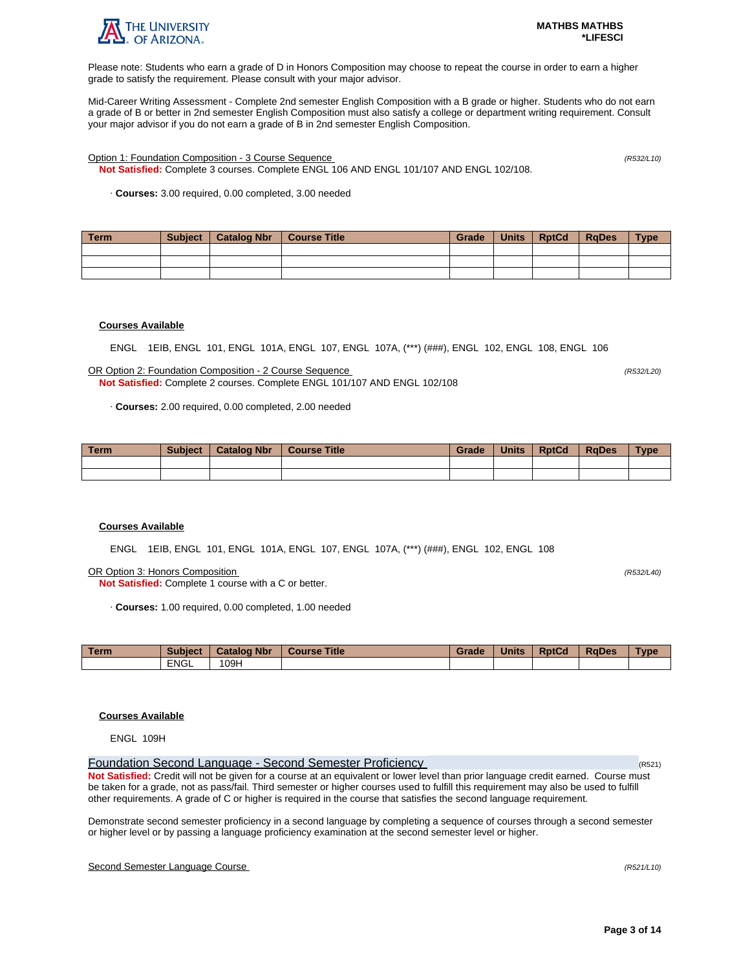

Please note: Students who earn a grade of D in Honors Composition may choose to repeat the course in order to earn a higher grade to satisfy the requirement. Please consult with your major advisor.

Mid-Career Writing Assessment - Complete 2nd semester English Composition with a B grade or higher. Students who do not earn a grade of B or better in 2nd semester English Composition must also satisfy a college or department writing requirement. Consult your major advisor if you do not earn a grade of B in 2nd semester English Composition.

Option 1: Foundation Composition - 3 Course Sequence (R532/L10)

**Not Satisfied:** Complete 3 courses. Complete ENGL 106 AND ENGL 101/107 AND ENGL 102/108.

· **Courses:** 3.00 required, 0.00 completed, 3.00 needed

| Term | <b>Subject</b> | Catalog Nbr | Course Title | Grade | Units | <b>RptCd</b> | <b>RaDes</b> | <b>Type</b> |
|------|----------------|-------------|--------------|-------|-------|--------------|--------------|-------------|
|      |                |             |              |       |       |              |              |             |
|      |                |             |              |       |       |              |              |             |
|      |                |             |              |       |       |              |              |             |

# **Courses Available**

ENGL 1EIB, ENGL 101, ENGL 101A, ENGL 107, ENGL 107A, (\*\*\*) (###), ENGL 102, ENGL 108, ENGL 106

OR Option 2: Foundation Composition - 2 Course Sequence (R532/L20) **Not Satisfied:** Complete 2 courses. Complete ENGL 101/107 AND ENGL 102/108

· **Courses:** 2.00 required, 0.00 completed, 2.00 needed

| <b>Term</b> | <b>Subject</b> | <b>Catalog Nbr</b> | <b>Course Title</b> | Grade | <b>Units</b> | <b>RptCd</b> | <b>RaDes</b> | <b>Type</b> |
|-------------|----------------|--------------------|---------------------|-------|--------------|--------------|--------------|-------------|
|             |                |                    |                     |       |              |              |              |             |
|             |                |                    |                     |       |              |              |              |             |

# **Courses Available**

ENGL 1EIB, ENGL 101, ENGL 101A, ENGL 107, ENGL 107A, (\*\*\*) (###), ENGL 102, ENGL 108

OR Option 3: Honors Composition (R532/L40)

**Not Satisfied:** Complete 1 course with a C or better.

· **Courses:** 1.00 required, 0.00 completed, 1.00 needed

| <b>Term</b> | <b>Subject</b> | <b>Catalog Nbr</b> | <b>Title</b><br>Course | Grade | <b>Units</b> | <b>RptCd</b> | <b>RaDes</b> | Type |
|-------------|----------------|--------------------|------------------------|-------|--------------|--------------|--------------|------|
|             | <b>ENGL</b>    | 09H                |                        |       |              |              |              |      |

# **Courses Available**

ENGL 109H

Foundation Second Language - Second Semester Proficiency (R521) **Not Satisfied:** Credit will not be given for a course at an equivalent or lower level than prior language credit earned. Course must be taken for a grade, not as pass/fail. Third semester or higher courses used to fulfill this requirement may also be used to fulfill other requirements. A grade of C or higher is required in the course that satisfies the second language requirement.

Demonstrate second semester proficiency in a second language by completing a sequence of courses through a second semester or higher level or by passing a language proficiency examination at the second semester level or higher.

# Second Semester Language Course (R521/L10)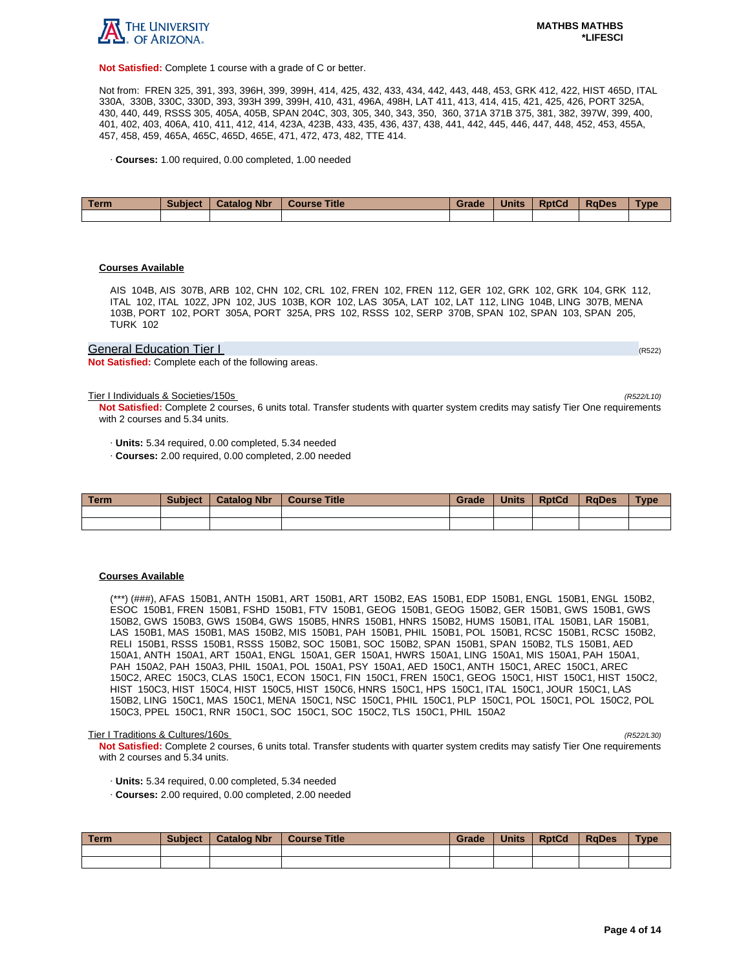

**Not Satisfied:** Complete 1 course with a grade of C or better.

Not from: FREN 325, 391, 393, 396H, 399, 399H, 414, 425, 432, 433, 434, 442, 443, 448, 453, GRK 412, 422, HIST 465D, ITAL 330A, 330B, 330C, 330D, 393, 393H 399, 399H, 410, 431, 496A, 498H, LAT 411, 413, 414, 415, 421, 425, 426, PORT 325A, 430, 440, 449, RSSS 305, 405A, 405B, SPAN 204C, 303, 305, 340, 343, 350, 360, 371A 371B 375, 381, 382, 397W, 399, 400, 401, 402, 403, 406A, 410, 411, 412, 414, 423A, 423B, 433, 435, 436, 437, 438, 441, 442, 445, 446, 447, 448, 452, 453, 455A, 457, 458, 459, 465A, 465C, 465D, 465E, 471, 472, 473, 482, TTE 414.

· **Courses:** 1.00 required, 0.00 completed, 1.00 needed

| Term | <b>Subject</b> | <b>Catalog Nbr</b> | <b>Course Title</b> | Grade | <b>Units</b> | <b>RptCd</b> | <b>RaDes</b> | <b>Type</b> |
|------|----------------|--------------------|---------------------|-------|--------------|--------------|--------------|-------------|
|      |                |                    |                     |       |              |              |              |             |

# **Courses Available**

AIS 104B, AIS 307B, ARB 102, CHN 102, CRL 102, FREN 102, FREN 112, GER 102, GRK 102, GRK 104, GRK 112, ITAL 102, ITAL 102Z, JPN 102, JUS 103B, KOR 102, LAS 305A, LAT 102, LAT 112, LING 104B, LING 307B, MENA 103B, PORT 102, PORT 305A, PORT 325A, PRS 102, RSSS 102, SERP 370B, SPAN 102, SPAN 103, SPAN 205, TURK 102

# General Education Tier I (RS22) And The Contract of the Contract of the Contract of the Contract of the Contract of the Contract of the Contract of the Contract of the Contract of the Contract of the Contract of the Contra

**Not Satisfied:** Complete each of the following areas.

Tier I Individuals & Societies/150s (R522/L10)

**Not Satisfied:** Complete 2 courses, 6 units total. Transfer students with quarter system credits may satisfy Tier One requirements with 2 courses and 5.34 units.

· **Units:** 5.34 required, 0.00 completed, 5.34 needed

· **Courses:** 2.00 required, 0.00 completed, 2.00 needed

| Term | <b>Subject</b> | <b>Catalog Nbr</b> | <b>Course Title</b> | Grade | <b>Units</b> | <b>RptCd</b> | <b>RaDes</b> | Type |
|------|----------------|--------------------|---------------------|-------|--------------|--------------|--------------|------|
|      |                |                    |                     |       |              |              |              |      |
|      |                |                    |                     |       |              |              |              |      |

# **Courses Available**

(\*\*\*) (###), AFAS 150B1, ANTH 150B1, ART 150B1, ART 150B2, EAS 150B1, EDP 150B1, ENGL 150B1, ENGL 150B2, ESOC 150B1, FREN 150B1, FSHD 150B1, FTV 150B1, GEOG 150B1, GEOG 150B2, GER 150B1, GWS 150B1, GWS 150B2, GWS 150B3, GWS 150B4, GWS 150B5, HNRS 150B1, HNRS 150B2, HUMS 150B1, ITAL 150B1, LAR 150B1, LAS 150B1, MAS 150B1, MAS 150B2, MIS 150B1, PAH 150B1, PHIL 150B1, POL 150B1, RCSC 150B1, RCSC 150B2, RELI 150B1, RSSS 150B1, RSSS 150B2, SOC 150B1, SOC 150B2, SPAN 150B1, SPAN 150B2, TLS 150B1, AED 150A1, ANTH 150A1, ART 150A1, ENGL 150A1, GER 150A1, HWRS 150A1, LING 150A1, MIS 150A1, PAH 150A1, PAH 150A2, PAH 150A3, PHIL 150A1, POL 150A1, PSY 150A1, AED 150C1, ANTH 150C1, AREC 150C1, AREC 150C2, AREC 150C3, CLAS 150C1, ECON 150C1, FIN 150C1, FREN 150C1, GEOG 150C1, HIST 150C1, HIST 150C2, HIST 150C3, HIST 150C4, HIST 150C5, HIST 150C6, HNRS 150C1, HPS 150C1, ITAL 150C1, JOUR 150C1, LAS 150B2, LING 150C1, MAS 150C1, MENA 150C1, NSC 150C1, PHIL 150C1, PLP 150C1, POL 150C1, POL 150C2, POL 150C3, PPEL 150C1, RNR 150C1, SOC 150C1, SOC 150C2, TLS 150C1, PHIL 150A2

#### Tier I Traditions & Cultures/160s (R522/L30)

**Not Satisfied:** Complete 2 courses, 6 units total. Transfer students with quarter system credits may satisfy Tier One requirements with 2 courses and 5.34 units.

- · **Units:** 5.34 required, 0.00 completed, 5.34 needed
- · **Courses:** 2.00 required, 0.00 completed, 2.00 needed

| Term | <b>Subject</b> | Catalog Nbr   Course Title | Grade | Units | <b>RptCd</b> | RaDes | <b>Type</b> |
|------|----------------|----------------------------|-------|-------|--------------|-------|-------------|
|      |                |                            |       |       |              |       |             |
|      |                |                            |       |       |              |       |             |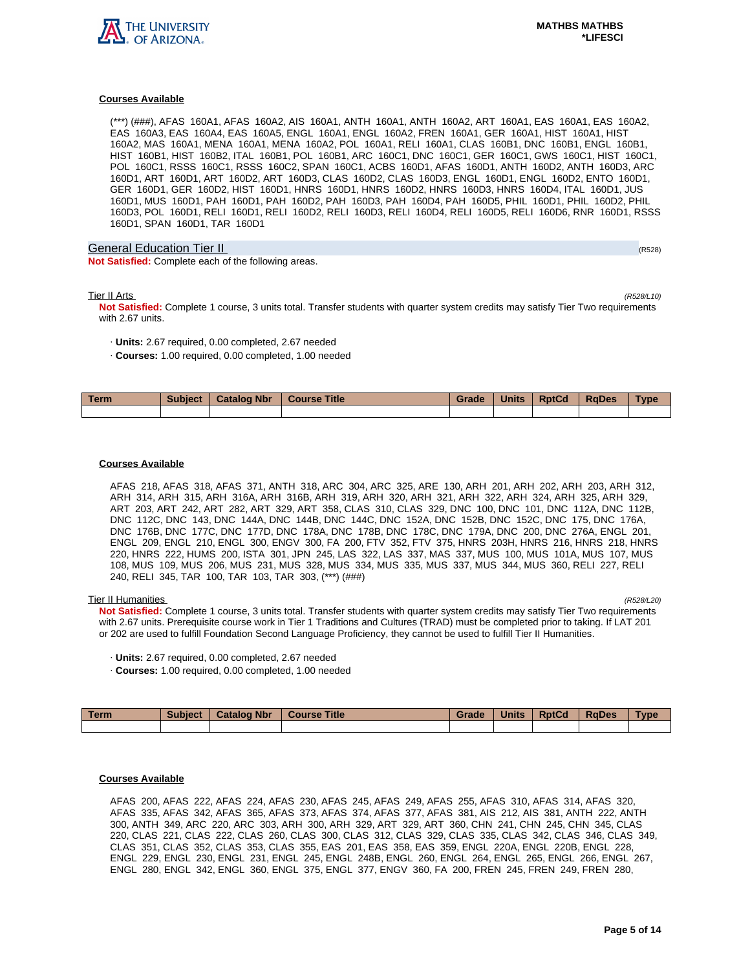

# **Courses Available**

(\*\*\*) (###), AFAS 160A1, AFAS 160A2, AIS 160A1, ANTH 160A1, ANTH 160A2, ART 160A1, EAS 160A1, EAS 160A2, EAS 160A3, EAS 160A4, EAS 160A5, ENGL 160A1, ENGL 160A2, FREN 160A1, GER 160A1, HIST 160A1, HIST 160A2, MAS 160A1, MENA 160A1, MENA 160A2, POL 160A1, RELI 160A1, CLAS 160B1, DNC 160B1, ENGL 160B1, HIST 160B1, HIST 160B2, ITAL 160B1, POL 160B1, ARC 160C1, DNC 160C1, GER 160C1, GWS 160C1, HIST 160C1, POL 160C1, RSSS 160C1, RSSS 160C2, SPAN 160C1, ACBS 160D1, AFAS 160D1, ANTH 160D2, ANTH 160D3, ARC 160D1, ART 160D1, ART 160D2, ART 160D3, CLAS 160D2, CLAS 160D3, ENGL 160D1, ENGL 160D2, ENTO 160D1, GER 160D1, GER 160D2, HIST 160D1, HNRS 160D1, HNRS 160D2, HNRS 160D3, HNRS 160D4, ITAL 160D1, JUS 160D1, MUS 160D1, PAH 160D1, PAH 160D2, PAH 160D3, PAH 160D4, PAH 160D5, PHIL 160D1, PHIL 160D2, PHIL 160D3, POL 160D1, RELI 160D1, RELI 160D2, RELI 160D3, RELI 160D4, RELI 160D5, RELI 160D6, RNR 160D1, RSSS 160D1, SPAN 160D1, TAR 160D1

# General Education Tier II (R528) (R528) (R528) (R528) (R528) (R528) (R528) (R528)

**Not Satisfied:** Complete each of the following areas.

Tier II Arts (R528/L10)

**Not Satisfied:** Complete 1 course, 3 units total. Transfer students with quarter system credits may satisfy Tier Two requirements with 2.67 units.

- · **Units:** 2.67 required, 0.00 completed, 2.67 needed
- · **Courses:** 1.00 required, 0.00 completed, 1.00 needed

| <b>Term</b> | <b>Subject</b> | <b>Catalog Nbr</b> | <b>Title</b><br><b>Course</b> | Grade | <b>Units</b> | <b>RptCd</b> | <b>RaDes</b> | Type |
|-------------|----------------|--------------------|-------------------------------|-------|--------------|--------------|--------------|------|
|             |                |                    |                               |       |              |              |              |      |

# **Courses Available**

AFAS 218, AFAS 318, AFAS 371, ANTH 318, ARC 304, ARC 325, ARE 130, ARH 201, ARH 202, ARH 203, ARH 312, ARH 314, ARH 315, ARH 316A, ARH 316B, ARH 319, ARH 320, ARH 321, ARH 322, ARH 324, ARH 325, ARH 329, ART 203, ART 242, ART 282, ART 329, ART 358, CLAS 310, CLAS 329, DNC 100, DNC 101, DNC 112A, DNC 112B, DNC 112C, DNC 143, DNC 144A, DNC 144B, DNC 144C, DNC 152A, DNC 152B, DNC 152C, DNC 175, DNC 176A, DNC 176B, DNC 177C, DNC 177D, DNC 178A, DNC 178B, DNC 178C, DNC 179A, DNC 200, DNC 276A, ENGL 201, ENGL 209, ENGL 210, ENGL 300, ENGV 300, FA 200, FTV 352, FTV 375, HNRS 203H, HNRS 216, HNRS 218, HNRS 220, HNRS 222, HUMS 200, ISTA 301, JPN 245, LAS 322, LAS 337, MAS 337, MUS 100, MUS 101A, MUS 107, MUS 108, MUS 109, MUS 206, MUS 231, MUS 328, MUS 334, MUS 335, MUS 337, MUS 344, MUS 360, RELI 227, RELI 240, RELI 345, TAR 100, TAR 103, TAR 303, (\*\*\*) (###)

Tier II Humanities (R528/L20) **Not Satisfied:** Complete 1 course, 3 units total. Transfer students with quarter system credits may satisfy Tier Two requirements with 2.67 units. Prerequisite course work in Tier 1 Traditions and Cultures (TRAD) must be completed prior to taking. If LAT 201 or 202 are used to fulfill Foundation Second Language Proficiency, they cannot be used to fulfill Tier II Humanities.

- · **Units:** 2.67 required, 0.00 completed, 2.67 needed
- · **Courses:** 1.00 required, 0.00 completed, 1.00 needed

| Term | <b>Subject</b> | <b>Catalog Nbr</b> | Course Title | Grade | <b>Units</b> | <b>RptCd</b> | <b>RaDes</b> | <b>Type</b> |
|------|----------------|--------------------|--------------|-------|--------------|--------------|--------------|-------------|
|      |                |                    |              |       |              |              |              |             |

# **Courses Available**

AFAS 200, AFAS 222, AFAS 224, AFAS 230, AFAS 245, AFAS 249, AFAS 255, AFAS 310, AFAS 314, AFAS 320, AFAS 335, AFAS 342, AFAS 365, AFAS 373, AFAS 374, AFAS 377, AFAS 381, AIS 212, AIS 381, ANTH 222, ANTH 300, ANTH 349, ARC 220, ARC 303, ARH 300, ARH 329, ART 329, ART 360, CHN 241, CHN 245, CHN 345, CLAS 220, CLAS 221, CLAS 222, CLAS 260, CLAS 300, CLAS 312, CLAS 329, CLAS 335, CLAS 342, CLAS 346, CLAS 349, CLAS 351, CLAS 352, CLAS 353, CLAS 355, EAS 201, EAS 358, EAS 359, ENGL 220A, ENGL 220B, ENGL 228, ENGL 229, ENGL 230, ENGL 231, ENGL 245, ENGL 248B, ENGL 260, ENGL 264, ENGL 265, ENGL 266, ENGL 267, ENGL 280, ENGL 342, ENGL 360, ENGL 375, ENGL 377, ENGV 360, FA 200, FREN 245, FREN 249, FREN 280,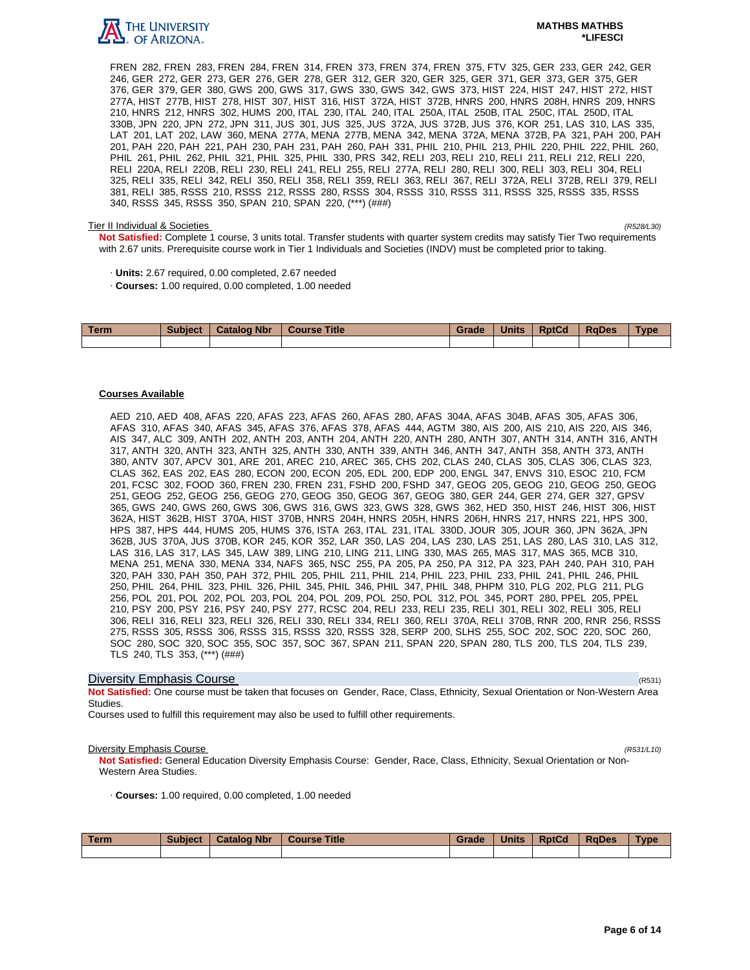

FREN 282, FREN 283, FREN 284, FREN 314, FREN 373, FREN 374, FREN 375, FTV 325, GER 233, GER 242, GER 246, GER 272, GER 273, GER 276, GER 278, GER 312, GER 320, GER 325, GER 371, GER 373, GER 375, GER 376, GER 379, GER 380, GWS 200, GWS 317, GWS 330, GWS 342, GWS 373, HIST 224, HIST 247, HIST 272, HIST 277A, HIST 277B, HIST 278, HIST 307, HIST 316, HIST 372A, HIST 372B, HNRS 200, HNRS 208H, HNRS 209, HNRS 210, HNRS 212, HNRS 302, HUMS 200, ITAL 230, ITAL 240, ITAL 250A, ITAL 250B, ITAL 250C, ITAL 250D, ITAL 330B, JPN 220, JPN 272, JPN 311, JUS 301, JUS 325, JUS 372A, JUS 372B, JUS 376, KOR 251, LAS 310, LAS 335, LAT 201, LAT 202, LAW 360, MENA 277A, MENA 277B, MENA 342, MENA 372A, MENA 372B, PA 321, PAH 200, PAH 201, PAH 220, PAH 221, PAH 230, PAH 231, PAH 260, PAH 331, PHIL 210, PHIL 213, PHIL 220, PHIL 222, PHIL 260, PHIL 261, PHIL 262, PHIL 321, PHIL 325, PHIL 330, PRS 342, RELI 203, RELI 210, RELI 211, RELI 212, RELI 220, RELI 220A, RELI 220B, RELI 230, RELI 241, RELI 255, RELI 277A, RELI 280, RELI 300, RELI 303, RELI 304, RELI 325, RELI 335, RELI 342, RELI 350, RELI 358, RELI 359, RELI 363, RELI 367, RELI 372A, RELI 372B, RELI 379, RELI 381, RELI 385, RSSS 210, RSSS 212, RSSS 280, RSSS 304, RSSS 310, RSSS 311, RSSS 325, RSSS 335, RSSS 340, RSSS 345, RSSS 350, SPAN 210, SPAN 220, (\*\*\*) (###)

#### Tier II Individual & Societies (R528/L30)

**Not Satisfied:** Complete 1 course, 3 units total. Transfer students with quarter system credits may satisfy Tier Two requirements with 2.67 units. Prerequisite course work in Tier 1 Individuals and Societies (INDV) must be completed prior to taking.

- · **Units:** 2.67 required, 0.00 completed, 2.67 needed
- · **Courses:** 1.00 required, 0.00 completed, 1.00 needed

| <b>Term</b> | <b>Subject</b> | <b>Catalog Nbr</b> | <b>Course Title</b> | Grade | <b>Units</b> | <b>RptCd</b> | <b>RaDes</b> | Type |
|-------------|----------------|--------------------|---------------------|-------|--------------|--------------|--------------|------|
|             |                |                    |                     |       |              |              |              |      |

# **Courses Available**

AED 210, AED 408, AFAS 220, AFAS 223, AFAS 260, AFAS 280, AFAS 304A, AFAS 304B, AFAS 305, AFAS 306, AFAS 310, AFAS 340, AFAS 345, AFAS 376, AFAS 378, AFAS 444, AGTM 380, AIS 200, AIS 210, AIS 220, AIS 346, AIS 347, ALC 309, ANTH 202, ANTH 203, ANTH 204, ANTH 220, ANTH 280, ANTH 307, ANTH 314, ANTH 316, ANTH 317, ANTH 320, ANTH 323, ANTH 325, ANTH 330, ANTH 339, ANTH 346, ANTH 347, ANTH 358, ANTH 373, ANTH 380, ANTV 307, APCV 301, ARE 201, AREC 210, AREC 365, CHS 202, CLAS 240, CLAS 305, CLAS 306, CLAS 323, CLAS 362, EAS 202, EAS 280, ECON 200, ECON 205, EDL 200, EDP 200, ENGL 347, ENVS 310, ESOC 210, FCM 201, FCSC 302, FOOD 360, FREN 230, FREN 231, FSHD 200, FSHD 347, GEOG 205, GEOG 210, GEOG 250, GEOG 251, GEOG 252, GEOG 256, GEOG 270, GEOG 350, GEOG 367, GEOG 380, GER 244, GER 274, GER 327, GPSV 365, GWS 240, GWS 260, GWS 306, GWS 316, GWS 323, GWS 328, GWS 362, HED 350, HIST 246, HIST 306, HIST 362A, HIST 362B, HIST 370A, HIST 370B, HNRS 204H, HNRS 205H, HNRS 206H, HNRS 217, HNRS 221, HPS 300, HPS 387, HPS 444, HUMS 205, HUMS 376, ISTA 263, ITAL 231, ITAL 330D, JOUR 305, JOUR 360, JPN 362A, JPN 362B, JUS 370A, JUS 370B, KOR 245, KOR 352, LAR 350, LAS 204, LAS 230, LAS 251, LAS 280, LAS 310, LAS 312, LAS 316, LAS 317, LAS 345, LAW 389, LING 210, LING 211, LING 330, MAS 265, MAS 317, MAS 365, MCB 310, MENA 251, MENA 330, MENA 334, NAFS 365, NSC 255, PA 205, PA 250, PA 312, PA 323, PAH 240, PAH 310, PAH 320, PAH 330, PAH 350, PAH 372, PHIL 205, PHIL 211, PHIL 214, PHIL 223, PHIL 233, PHIL 241, PHIL 246, PHIL 250, PHIL 264, PHIL 323, PHIL 326, PHIL 345, PHIL 346, PHIL 347, PHIL 348, PHPM 310, PLG 202, PLG 211, PLG 256, POL 201, POL 202, POL 203, POL 204, POL 209, POL 250, POL 312, POL 345, PORT 280, PPEL 205, PPEL 210, PSY 200, PSY 216, PSY 240, PSY 277, RCSC 204, RELI 233, RELI 235, RELI 301, RELI 302, RELI 305, RELI 306, RELI 316, RELI 323, RELI 326, RELI 330, RELI 334, RELI 360, RELI 370A, RELI 370B, RNR 200, RNR 256, RSSS 275, RSSS 305, RSSS 306, RSSS 315, RSSS 320, RSSS 328, SERP 200, SLHS 255, SOC 202, SOC 220, SOC 260, SOC 280, SOC 320, SOC 355, SOC 357, SOC 367, SPAN 211, SPAN 220, SPAN 280, TLS 200, TLS 204, TLS 239, TLS 240, TLS 353, (\*\*\*) (###)

# **Diversity Emphasis Course** (R531) **Diversity Emphasis Course**

**Not Satisfied:** One course must be taken that focuses on Gender, Race, Class, Ethnicity, Sexual Orientation or Non-Western Area Studies.

Courses used to fulfill this requirement may also be used to fulfill other requirements.

# **Diversity Emphasis Course** (R531/L10)

**Not Satisfied:** General Education Diversity Emphasis Course: Gender, Race, Class, Ethnicity, Sexual Orientation or Non-Western Area Studies.

· **Courses:** 1.00 required, 0.00 completed, 1.00 needed

| Term | <b>Subject</b> | <b>Catalog Nbr</b> | Course Title | Grade | <b>Units</b> | <b>RptCd</b> | <b>RaDes</b> | <b>Type</b> |
|------|----------------|--------------------|--------------|-------|--------------|--------------|--------------|-------------|
|      |                |                    |              |       |              |              |              |             |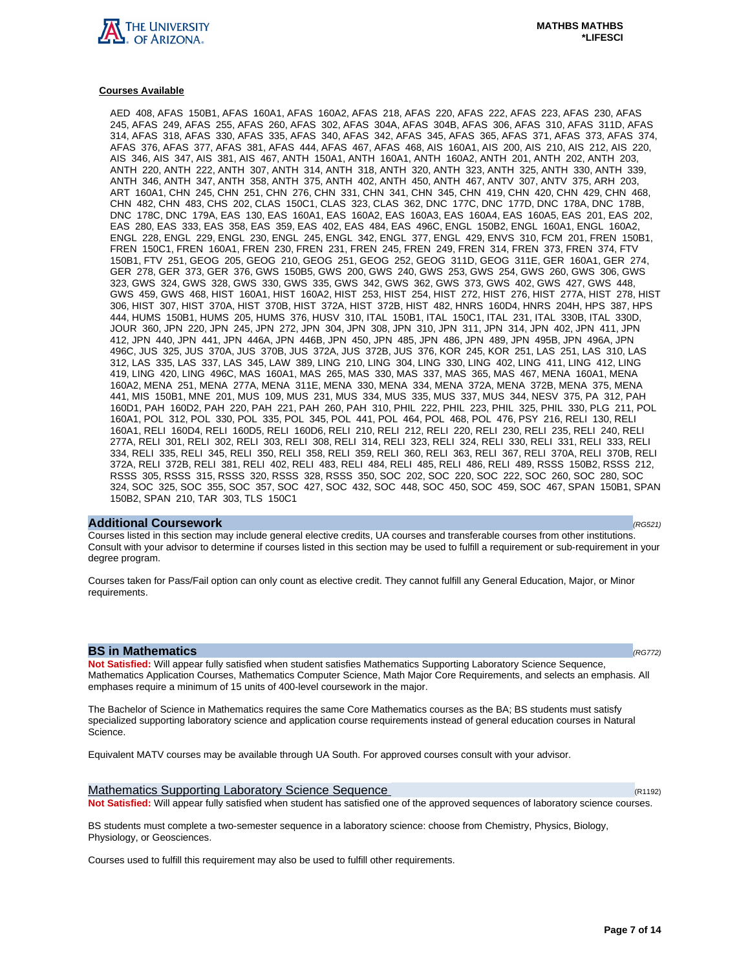

#### **Courses Available**

AED 408, AFAS 150B1, AFAS 160A1, AFAS 160A2, AFAS 218, AFAS 220, AFAS 222, AFAS 223, AFAS 230, AFAS 245, AFAS 249, AFAS 255, AFAS 260, AFAS 302, AFAS 304A, AFAS 304B, AFAS 306, AFAS 310, AFAS 311D, AFAS 314, AFAS 318, AFAS 330, AFAS 335, AFAS 340, AFAS 342, AFAS 345, AFAS 365, AFAS 371, AFAS 373, AFAS 374, AFAS 376, AFAS 377, AFAS 381, AFAS 444, AFAS 467, AFAS 468, AIS 160A1, AIS 200, AIS 210, AIS 212, AIS 220, AIS 346, AIS 347, AIS 381, AIS 467, ANTH 150A1, ANTH 160A1, ANTH 160A2, ANTH 201, ANTH 202, ANTH 203, ANTH 220, ANTH 222, ANTH 307, ANTH 314, ANTH 318, ANTH 320, ANTH 323, ANTH 325, ANTH 330, ANTH 339, ANTH 346, ANTH 347, ANTH 358, ANTH 375, ANTH 402, ANTH 450, ANTH 467, ANTV 307, ANTV 375, ARH 203, ART 160A1, CHN 245, CHN 251, CHN 276, CHN 331, CHN 341, CHN 345, CHN 419, CHN 420, CHN 429, CHN 468, CHN 482, CHN 483, CHS 202, CLAS 150C1, CLAS 323, CLAS 362, DNC 177C, DNC 177D, DNC 178A, DNC 178B, DNC 178C, DNC 179A, EAS 130, EAS 160A1, EAS 160A2, EAS 160A3, EAS 160A4, EAS 160A5, EAS 201, EAS 202, EAS 280, EAS 333, EAS 358, EAS 359, EAS 402, EAS 484, EAS 496C, ENGL 150B2, ENGL 160A1, ENGL 160A2, ENGL 228, ENGL 229, ENGL 230, ENGL 245, ENGL 342, ENGL 377, ENGL 429, ENVS 310, FCM 201, FREN 150B1, FREN 150C1, FREN 160A1, FREN 230, FREN 231, FREN 245, FREN 249, FREN 314, FREN 373, FREN 374, FTV 150B1, FTV 251, GEOG 205, GEOG 210, GEOG 251, GEOG 252, GEOG 311D, GEOG 311E, GER 160A1, GER 274, GER 278, GER 373, GER 376, GWS 150B5, GWS 200, GWS 240, GWS 253, GWS 254, GWS 260, GWS 306, GWS 323, GWS 324, GWS 328, GWS 330, GWS 335, GWS 342, GWS 362, GWS 373, GWS 402, GWS 427, GWS 448, GWS 459, GWS 468, HIST 160A1, HIST 160A2, HIST 253, HIST 254, HIST 272, HIST 276, HIST 277A, HIST 278, HIST 306, HIST 307, HIST 370A, HIST 370B, HIST 372A, HIST 372B, HIST 482, HNRS 160D4, HNRS 204H, HPS 387, HPS 444, HUMS 150B1, HUMS 205, HUMS 376, HUSV 310, ITAL 150B1, ITAL 150C1, ITAL 231, ITAL 330B, ITAL 330D, JOUR 360, JPN 220, JPN 245, JPN 272, JPN 304, JPN 308, JPN 310, JPN 311, JPN 314, JPN 402, JPN 411, JPN 412, JPN 440, JPN 441, JPN 446A, JPN 446B, JPN 450, JPN 485, JPN 486, JPN 489, JPN 495B, JPN 496A, JPN 496C, JUS 325, JUS 370A, JUS 370B, JUS 372A, JUS 372B, JUS 376, KOR 245, KOR 251, LAS 251, LAS 310, LAS 312, LAS 335, LAS 337, LAS 345, LAW 389, LING 210, LING 304, LING 330, LING 402, LING 411, LING 412, LING 419, LING 420, LING 496C, MAS 160A1, MAS 265, MAS 330, MAS 337, MAS 365, MAS 467, MENA 160A1, MENA 160A2, MENA 251, MENA 277A, MENA 311E, MENA 330, MENA 334, MENA 372A, MENA 372B, MENA 375, MENA 441, MIS 150B1, MNE 201, MUS 109, MUS 231, MUS 334, MUS 335, MUS 337, MUS 344, NESV 375, PA 312, PAH 160D1, PAH 160D2, PAH 220, PAH 221, PAH 260, PAH 310, PHIL 222, PHIL 223, PHIL 325, PHIL 330, PLG 211, POL 160A1, POL 312, POL 330, POL 335, POL 345, POL 441, POL 464, POL 468, POL 476, PSY 216, RELI 130, RELI 160A1, RELI 160D4, RELI 160D5, RELI 160D6, RELI 210, RELI 212, RELI 220, RELI 230, RELI 235, RELI 240, RELI 277A, RELI 301, RELI 302, RELI 303, RELI 308, RELI 314, RELI 323, RELI 324, RELI 330, RELI 331, RELI 333, RELI 334, RELI 335, RELI 345, RELI 350, RELI 358, RELI 359, RELI 360, RELI 363, RELI 367, RELI 370A, RELI 370B, RELI 372A, RELI 372B, RELI 381, RELI 402, RELI 483, RELI 484, RELI 485, RELI 486, RELI 489, RSSS 150B2, RSSS 212, RSSS 305, RSSS 315, RSSS 320, RSSS 328, RSSS 350, SOC 202, SOC 220, SOC 222, SOC 260, SOC 280, SOC 324, SOC 325, SOC 355, SOC 357, SOC 427, SOC 432, SOC 448, SOC 450, SOC 459, SOC 467, SPAN 150B1, SPAN 150B2, SPAN 210, TAR 303, TLS 150C1

#### **Additional Coursework** (RG521)

Courses listed in this section may include general elective credits, UA courses and transferable courses from other institutions. Consult with your advisor to determine if courses listed in this section may be used to fulfill a requirement or sub-requirement in your degree program.

Courses taken for Pass/Fail option can only count as elective credit. They cannot fulfill any General Education, Major, or Minor requirements.

# **BS in Mathematics (RG772)**

**Not Satisfied:** Will appear fully satisfied when student satisfies Mathematics Supporting Laboratory Science Sequence, Mathematics Application Courses, Mathematics Computer Science, Math Major Core Requirements, and selects an emphasis. All emphases require a minimum of 15 units of 400-level coursework in the major.

The Bachelor of Science in Mathematics requires the same Core Mathematics courses as the BA; BS students must satisfy specialized supporting laboratory science and application course requirements instead of general education courses in Natural Science.

Equivalent MATV courses may be available through UA South. For approved courses consult with your advisor.

Mathematics Supporting Laboratory Science Sequence (R1192)  $(R1192)$ **Not Satisfied:** Will appear fully satisfied when student has satisfied one of the approved sequences of laboratory science courses.

BS students must complete a two-semester sequence in a laboratory science: choose from Chemistry, Physics, Biology, Physiology, or Geosciences.

Courses used to fulfill this requirement may also be used to fulfill other requirements.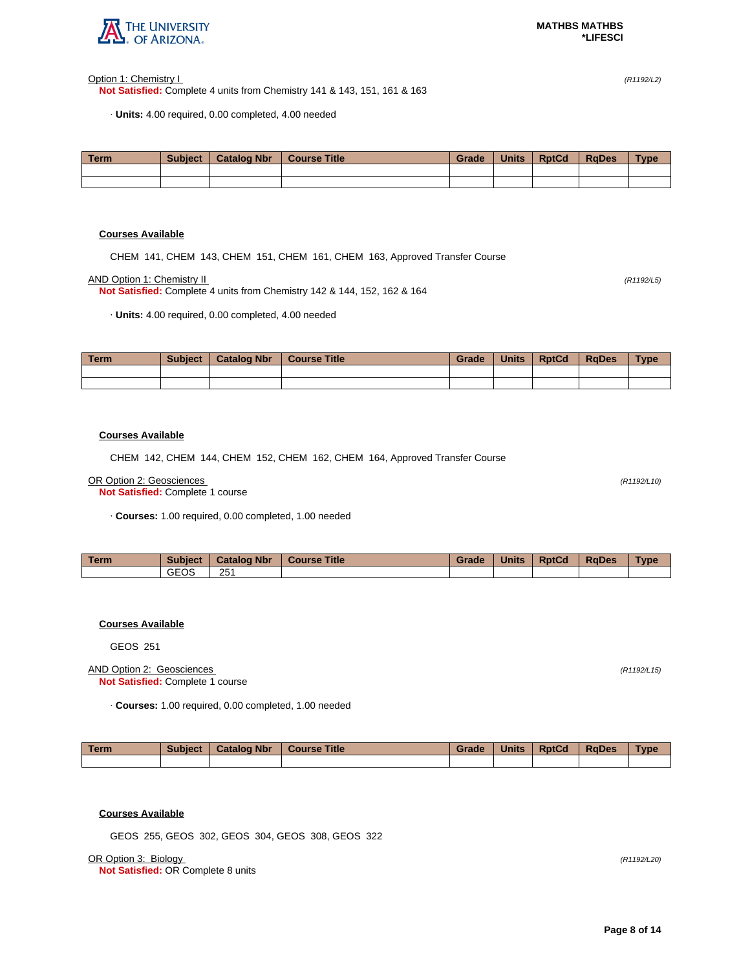

Option 1: Chemistry I (R1192/L2)

**Not Satisfied:** Complete 4 units from Chemistry 141 & 143, 151, 161 & 163

· **Units:** 4.00 required, 0.00 completed, 4.00 needed

| <b>Term</b> | <b>Subject</b> | <b>Catalog Nbr</b> | <b>Course Title</b> | Grade | <b>Units</b> | <b>RptCd</b> | <b>RaDes</b> | <b>Type</b> |
|-------------|----------------|--------------------|---------------------|-------|--------------|--------------|--------------|-------------|
|             |                |                    |                     |       |              |              |              |             |
|             |                |                    |                     |       |              |              |              |             |

# **Courses Available**

CHEM 141, CHEM 143, CHEM 151, CHEM 161, CHEM 163, Approved Transfer Course

AND Option 1: Chemistry II (R1192/L5)

**Not Satisfied:** Complete 4 units from Chemistry 142 & 144, 152, 162 & 164

· **Units:** 4.00 required, 0.00 completed, 4.00 needed

| Term | <b>Subject</b> | <b>Catalog Nbr</b> | <b>Course Title</b> | Grade | <b>Units</b> | <b>RptCd</b> | <b>RaDes</b> | <b>Type</b> |
|------|----------------|--------------------|---------------------|-------|--------------|--------------|--------------|-------------|
|      |                |                    |                     |       |              |              |              |             |
|      |                |                    |                     |       |              |              |              |             |

# **Courses Available**

CHEM 142, CHEM 144, CHEM 152, CHEM 162, CHEM 164, Approved Transfer Course

#### OR Option 2: Geosciences (R1192/L10)

**Not Satisfied:** Complete 1 course

· **Courses:** 1.00 required, 0.00 completed, 1.00 needed

| <b>Term</b> | <b>Subject</b> | <b>Catalog Nbr</b> | <b>Title</b><br><b>Course</b> | Grade | <b>Units</b> | <b>RptCd</b> | RaDes | Type |
|-------------|----------------|--------------------|-------------------------------|-------|--------------|--------------|-------|------|
|             | GEOS           | 251                |                               |       |              |              |       |      |

# **Courses Available**

GEOS 251

# AND Option 2: Geosciences (R1192/L15) **Not Satisfied:** Complete 1 course

· **Courses:** 1.00 required, 0.00 completed, 1.00 needed

| Term | <b>Subject</b> | <b>Catalog Nbr</b> | Course Title | Grade | <b>Units</b> | <b>RptCd</b> | <b>RaDes</b> | <b>Type</b> |
|------|----------------|--------------------|--------------|-------|--------------|--------------|--------------|-------------|
|      |                |                    |              |       |              |              |              |             |

# **Courses Available**

GEOS 255, GEOS 302, GEOS 304, GEOS 308, GEOS 322

OR Option 3: Biology (R1192/L20)

**Not Satisfied:** OR Complete 8 units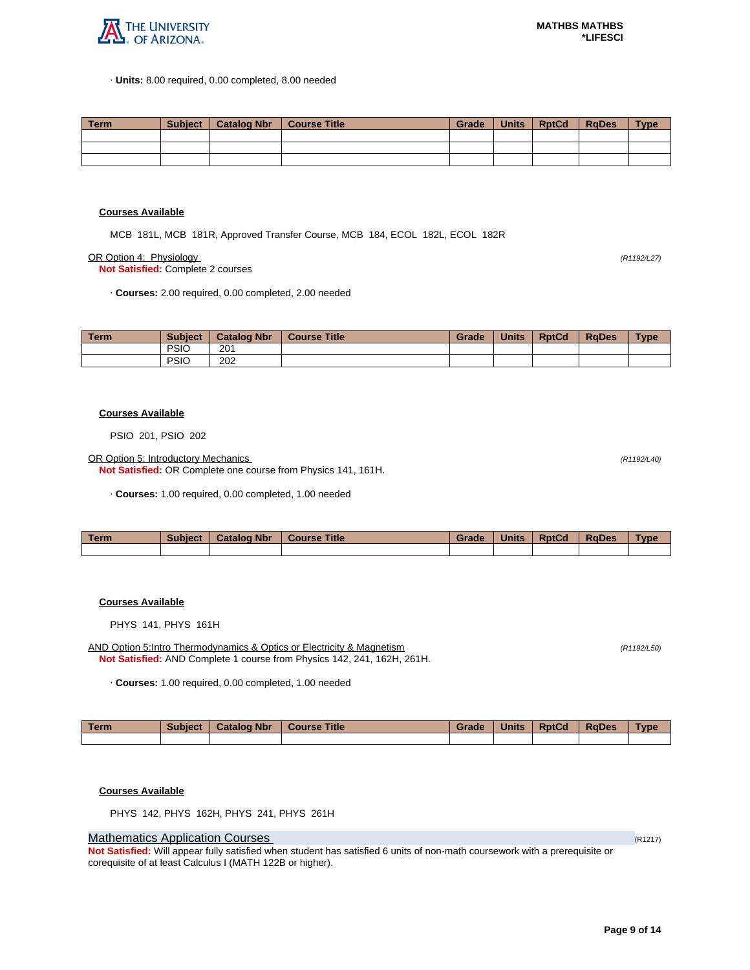

· **Units:** 8.00 required, 0.00 completed, 8.00 needed

| Term | Subiect | <sup>1</sup> Catalog Nbr | Course Title | Grade | Units | <b>RptCd</b> | RaDes | <b>Type</b> |
|------|---------|--------------------------|--------------|-------|-------|--------------|-------|-------------|
|      |         |                          |              |       |       |              |       |             |
|      |         |                          |              |       |       |              |       |             |
|      |         |                          |              |       |       |              |       |             |

### **Courses Available**

MCB 181L, MCB 181R, Approved Transfer Course, MCB 184, ECOL 182L, ECOL 182R

OR Option 4: Physiology (R1192/L27)

**Not Satisfied:** Complete 2 courses

· **Courses:** 2.00 required, 0.00 completed, 2.00 needed

| <b>Term</b> | <b>Subject</b> | <b>Catalog Nbr</b> | <b>Course Title</b> | Grade | <b>Units</b> | <b>RptCd</b> | <b>RaDes</b> | <b>Type</b> |
|-------------|----------------|--------------------|---------------------|-------|--------------|--------------|--------------|-------------|
|             | <b>PSIO</b>    | 201                |                     |       |              |              |              |             |
|             | <b>PSIC</b>    | 202                |                     |       |              |              |              |             |

#### **Courses Available**

PSIO 201, PSIO 202

OR Option 5: Introductory Mechanics (R1192/L40)

**Not Satisfied:** OR Complete one course from Physics 141, 161H.

· **Courses:** 1.00 required, 0.00 completed, 1.00 needed

| <b>Term</b> | Subject | <b>Catalog Nbr</b> | <b>Course Title</b> | Grade | <b>Units</b> | <b>RptCd</b> | <b>RaDes</b> | Type |
|-------------|---------|--------------------|---------------------|-------|--------------|--------------|--------------|------|
|             |         |                    |                     |       |              |              |              |      |

# **Courses Available**

PHYS 141, PHYS 161H

AND Option 5:Intro Thermodynamics & Optics or Electricity & Magnetism (R1192/L50) (R1192/L50) **Not Satisfied:** AND Complete 1 course from Physics 142, 241, 162H, 261H.

· **Courses:** 1.00 required, 0.00 completed, 1.00 needed

| Term | <b>Subject</b> | <b>Catalog Nbr</b> | Course Title | Grade | <b>Units</b> | <b>RptCd</b> | <b>RaDes</b> | <b>Type</b> |
|------|----------------|--------------------|--------------|-------|--------------|--------------|--------------|-------------|
|      |                |                    |              |       |              |              |              |             |

#### **Courses Available**

PHYS 142, PHYS 162H, PHYS 241, PHYS 261H

# **Mathematics Application Courses (R1217)** (R1217)

**Not Satisfied:** Will appear fully satisfied when student has satisfied 6 units of non-math coursework with a prerequisite or corequisite of at least Calculus I (MATH 122B or higher).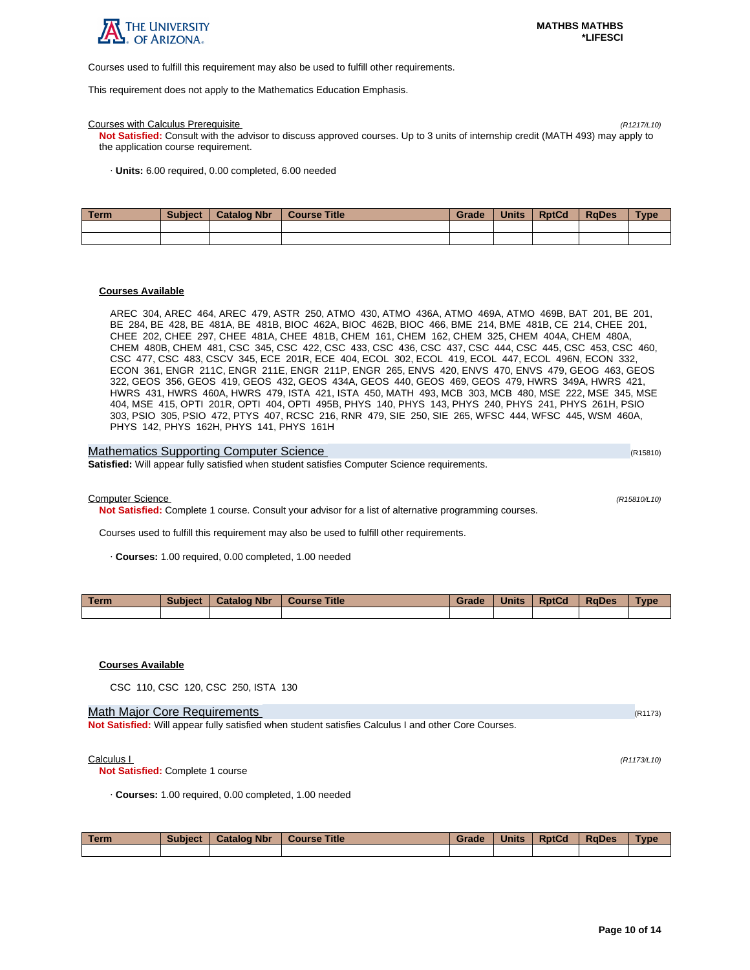

Courses used to fulfill this requirement may also be used to fulfill other requirements.

This requirement does not apply to the Mathematics Education Emphasis.

#### Courses with Calculus Prerequisite (R1217/L10)

**Not Satisfied:** Consult with the advisor to discuss approved courses. Up to 3 units of internship credit (MATH 493) may apply to the application course requirement.

· **Units:** 6.00 required, 0.00 completed, 6.00 needed

| Term | <b>Subject</b> | <b>Catalog Nbr</b> | Course Title | Grade | <b>Units</b> | <b>RptCd</b> | <b>RaDes</b> | <b>Type</b> |
|------|----------------|--------------------|--------------|-------|--------------|--------------|--------------|-------------|
|      |                |                    |              |       |              |              |              |             |
|      |                |                    |              |       |              |              |              |             |

# **Courses Available**

AREC 304, AREC 464, AREC 479, ASTR 250, ATMO 430, ATMO 436A, ATMO 469A, ATMO 469B, BAT 201, BE 201, BE 284, BE 428, BE 481A, BE 481B, BIOC 462A, BIOC 462B, BIOC 466, BME 214, BME 481B, CE 214, CHEE 201, CHEE 202, CHEE 297, CHEE 481A, CHEE 481B, CHEM 161, CHEM 162, CHEM 325, CHEM 404A, CHEM 480A, CHEM 480B, CHEM 481, CSC 345, CSC 422, CSC 433, CSC 436, CSC 437, CSC 444, CSC 445, CSC 453, CSC 460, CSC 477, CSC 483, CSCV 345, ECE 201R, ECE 404, ECOL 302, ECOL 419, ECOL 447, ECOL 496N, ECON 332, ECON 361, ENGR 211C, ENGR 211E, ENGR 211P, ENGR 265, ENVS 420, ENVS 470, ENVS 479, GEOG 463, GEOS 322, GEOS 356, GEOS 419, GEOS 432, GEOS 434A, GEOS 440, GEOS 469, GEOS 479, HWRS 349A, HWRS 421, HWRS 431, HWRS 460A, HWRS 479, ISTA 421, ISTA 450, MATH 493, MCB 303, MCB 480, MSE 222, MSE 345, MSE 404, MSE 415, OPTI 201R, OPTI 404, OPTI 495B, PHYS 140, PHYS 143, PHYS 240, PHYS 241, PHYS 261H, PSIO 303, PSIO 305, PSIO 472, PTYS 407, RCSC 216, RNR 479, SIE 250, SIE 265, WFSC 444, WFSC 445, WSM 460A, PHYS 142, PHYS 162H, PHYS 141, PHYS 161H

| Mathematics Supporting Computer Science                                                             | (R15810) |
|-----------------------------------------------------------------------------------------------------|----------|
| <b>Satisfied:</b> Will appear fully satisfied when student satisfies Computer Science requirements. |          |

Computer Science (R15810/L10)

**Not Satisfied:** Complete 1 course. Consult your advisor for a list of alternative programming courses.

Courses used to fulfill this requirement may also be used to fulfill other requirements.

· **Courses:** 1.00 required, 0.00 completed, 1.00 needed

| Term. | <b>Subject</b> | <b>Catalog Nbr</b> | <b>Course Title</b> | Grade | <b>Units</b> | <b>RptCd</b> | <b>RaDes</b> | Type |
|-------|----------------|--------------------|---------------------|-------|--------------|--------------|--------------|------|
|       |                |                    |                     |       |              |              |              |      |

# **Courses Available**

CSC 110, CSC 120, CSC 250, ISTA 130

# Math Major Core Requirements (R1173) (R1173)

**Not Satisfied:** Will appear fully satisfied when student satisfies Calculus I and other Core Courses.

 $\text{Calculus } I$  (R1173/L10)

**Not Satisfied:** Complete 1 course

· **Courses:** 1.00 required, 0.00 completed, 1.00 needed

| Term | <b>Subject</b> | <b>Catalog Nbr</b> | <b>Course Title</b> | Grade | <b>Units</b> | <b>RptCd</b> | RaDes | <b>Type</b> |
|------|----------------|--------------------|---------------------|-------|--------------|--------------|-------|-------------|
|      |                |                    |                     |       |              |              |       |             |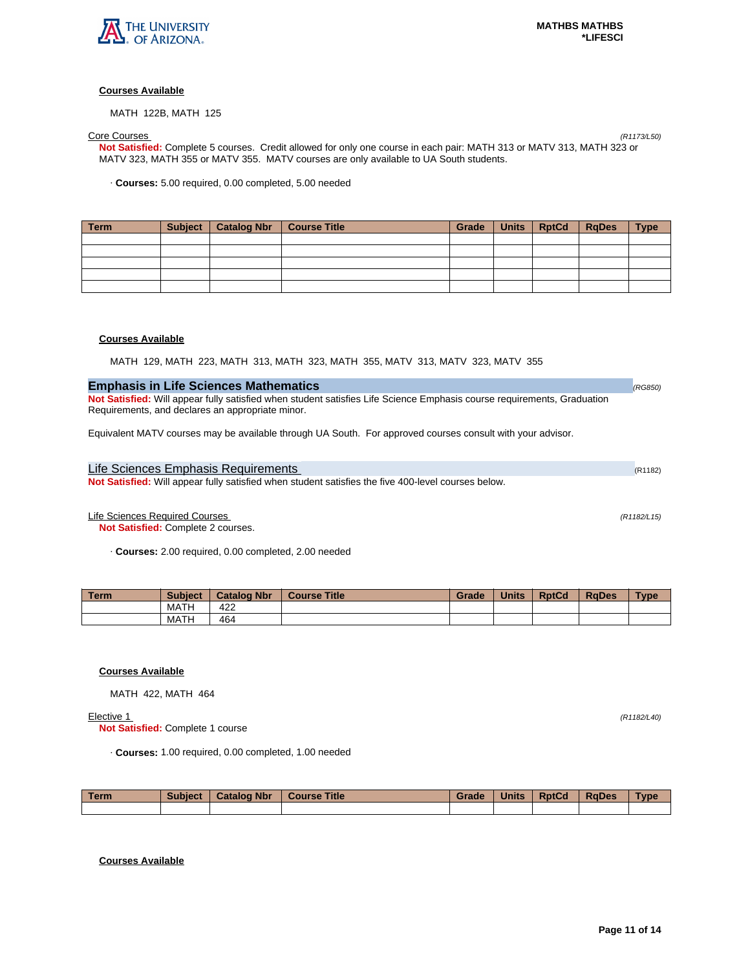

# **Courses Available**

MATH 122B, MATH 125

# Core Courses (R1173/L50)

**Not Satisfied:** Complete 5 courses. Credit allowed for only one course in each pair: MATH 313 or MATV 313, MATH 323 or MATV 323, MATH 355 or MATV 355. MATV courses are only available to UA South students.

· **Courses:** 5.00 required, 0.00 completed, 5.00 needed

| Term | Subject   Catalog Nbr | <b>Course Title</b> | Grade | Units   RptCd | <b>RgDes</b> | <b>Type</b> |
|------|-----------------------|---------------------|-------|---------------|--------------|-------------|
|      |                       |                     |       |               |              |             |
|      |                       |                     |       |               |              |             |
|      |                       |                     |       |               |              |             |
|      |                       |                     |       |               |              |             |
|      |                       |                     |       |               |              |             |

# **Courses Available**

MATH 129, MATH 223, MATH 313, MATH 323, MATH 355, MATV 313, MATV 323, MATV 355

| <b>Emphasis in Life Sciences Mathematics</b> | (RG850) |
|----------------------------------------------|---------|
|                                              |         |

**Not Satisfied:** Will appear fully satisfied when student satisfies Life Science Emphasis course requirements, Graduation Requirements, and declares an appropriate minor.

Equivalent MATV courses may be available through UA South. For approved courses consult with your advisor.

Life Sciences Emphasis Requirements (R1182) and R1182) and R1182 (R1182) **Not Satisfied:** Will appear fully satisfied when student satisfies the five 400-level courses below.

Life Sciences Required Courses (R1182/L15)

**Not Satisfied:** Complete 2 courses.

· **Courses:** 2.00 required, 0.00 completed, 2.00 needed

| Term. | <b>Subject</b> | <b>Catalog Nbr</b> | <b>Course Title</b> | Grade | <b>Units</b> | <b>RptCd</b> | <b>RaDes</b> | Type |
|-------|----------------|--------------------|---------------------|-------|--------------|--------------|--------------|------|
|       | <b>MATH</b>    | 422                |                     |       |              |              |              |      |
|       | <b>MATH</b>    | 464                |                     |       |              |              |              |      |

# **Courses Available**

MATH 422, MATH 464

**Elective 1** (R1182/L40)

**Not Satisfied:** Complete 1 course

· **Courses:** 1.00 required, 0.00 completed, 1.00 needed

| <b>Term</b> | <b>Subject</b> | <b>Catalog Nbr</b> | <b>Course Title</b> | Grade | <b>Units</b> | <b>RptCd</b> | <b>RaDes</b> | Type |
|-------------|----------------|--------------------|---------------------|-------|--------------|--------------|--------------|------|
|             |                |                    |                     |       |              |              |              |      |

# **Courses Available**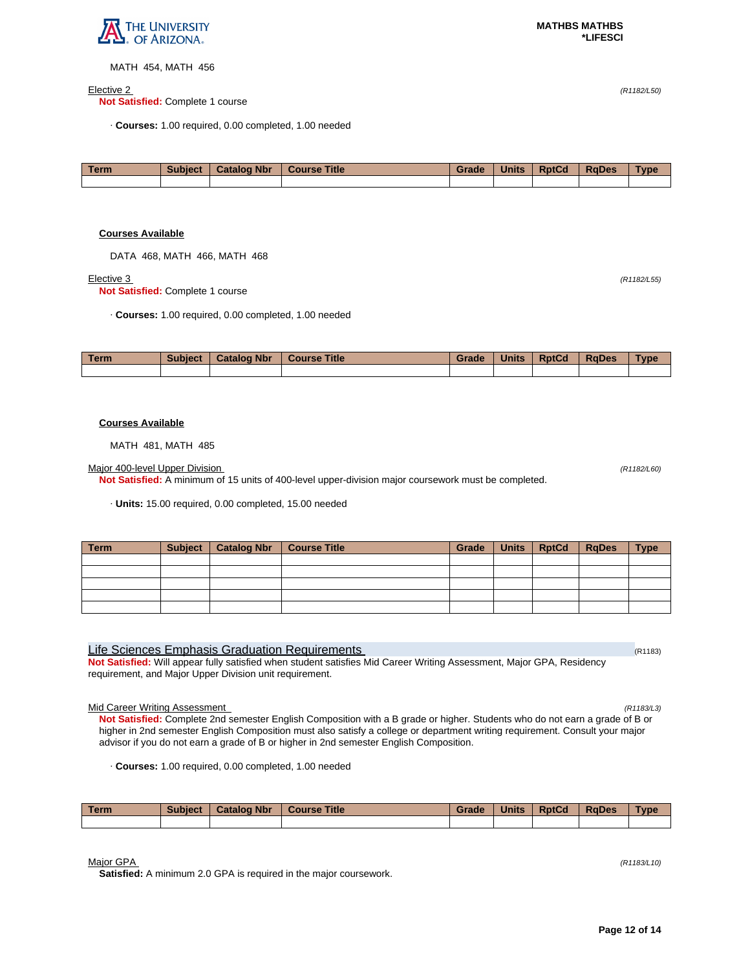

MATH 454, MATH 456

### $E$ lective 2 (R1182/L50)

**Not Satisfied:** Complete 1 course

· **Courses:** 1.00 required, 0.00 completed, 1.00 needed

| l Term | <b>Subject</b> | <b>Catalog Nbr</b> | Course Title | Grade | <b>Units</b> | <b>RptCd</b> | <b>RaDes</b> | <b>Type</b> |
|--------|----------------|--------------------|--------------|-------|--------------|--------------|--------------|-------------|
|        |                |                    |              |       |              |              |              |             |
|        |                |                    |              |       |              |              |              |             |
|        |                |                    |              |       |              |              |              |             |

# **Courses Available**

DATA 468, MATH 466, MATH 468

**Not Satisfied:** Complete 1 course

**Elective 3** (R1182/L55)

· **Courses:** 1.00 required, 0.00 completed, 1.00 needed

| <b>Term</b> | <b>Subject</b> | <b>Catalog Nbr</b> | <b>Course Title</b> | Grade | <b>Units</b> | <b>RptCd</b> | <b>RaDes</b> | Type |
|-------------|----------------|--------------------|---------------------|-------|--------------|--------------|--------------|------|
|             |                |                    |                     |       |              |              |              |      |

# **Courses Available**

MATH 481, MATH 485

Major 400-level Upper Division (R1182/L60)

**Not Satisfied:** A minimum of 15 units of 400-level upper-division major coursework must be completed.

· **Units:** 15.00 required, 0.00 completed, 15.00 needed

| <b>Term</b> | Subject | Catalog Nbr   Course Title | Grade | <b>Units</b> | <b>RptCd</b> | RgDes | <b>Type</b> |
|-------------|---------|----------------------------|-------|--------------|--------------|-------|-------------|
|             |         |                            |       |              |              |       |             |
|             |         |                            |       |              |              |       |             |
|             |         |                            |       |              |              |       |             |
|             |         |                            |       |              |              |       |             |
|             |         |                            |       |              |              |       |             |

# Life Sciences Emphasis Graduation Requirements (R1183) And Research (R1183)

**Not Satisfied:** Will appear fully satisfied when student satisfies Mid Career Writing Assessment, Major GPA, Residency requirement, and Major Upper Division unit requirement.

Mid Career Writing Assessment (R1183/L3)

**Not Satisfied:** Complete 2nd semester English Composition with a B grade or higher. Students who do not earn a grade of B or higher in 2nd semester English Composition must also satisfy a college or department writing requirement. Consult your major advisor if you do not earn a grade of B or higher in 2nd semester English Composition.

· **Courses:** 1.00 required, 0.00 completed, 1.00 needed

| <b>Term</b> | <b>Subject</b> | <b>Catalog Nbr</b> | <b>Course Title</b> | Grade | <b>Units</b> | <b>RptCd</b> | <b>RaDes</b> | <b>Type</b> |
|-------------|----------------|--------------------|---------------------|-------|--------------|--------------|--------------|-------------|
|             |                |                    |                     |       |              |              |              |             |

 $M$ ajor GPA (R1183/L10)

**Satisfied:** A minimum 2.0 GPA is required in the major coursework.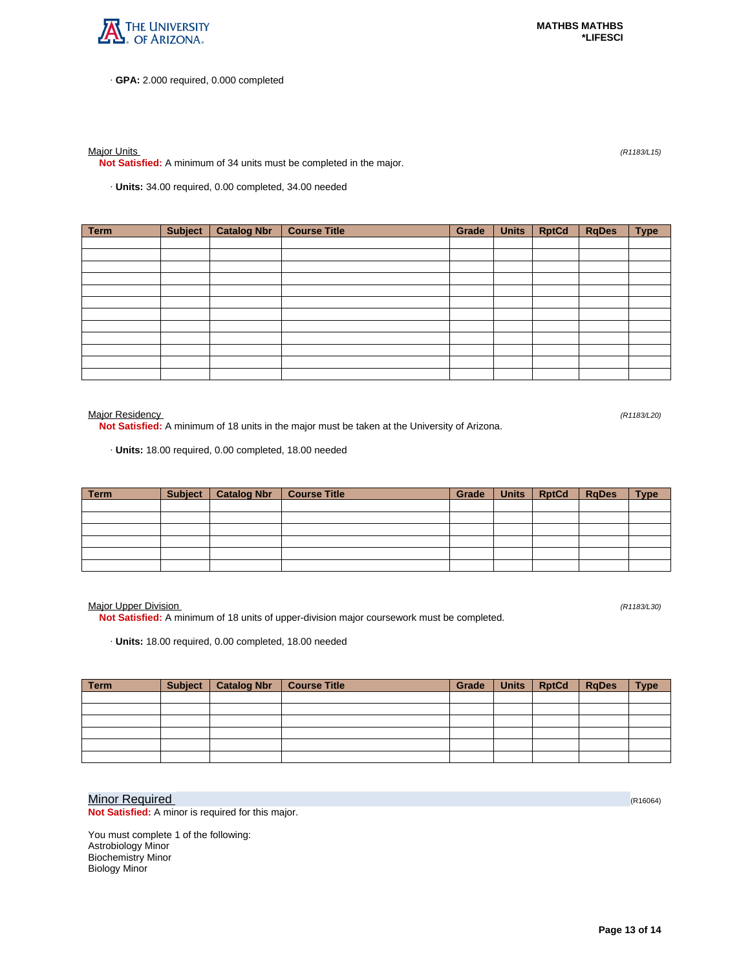

· **GPA:** 2.000 required, 0.000 completed

Major Units (R1183/L15)

**Not Satisfied:** A minimum of 34 units must be completed in the major.

· **Units:** 34.00 required, 0.00 completed, 34.00 needed

| Term | <b>Subject</b> | <b>Catalog Nbr</b> | <b>Course Title</b> | Grade | <b>Units</b> | <b>RptCd</b> | <b>RqDes</b> | <b>Type</b> |
|------|----------------|--------------------|---------------------|-------|--------------|--------------|--------------|-------------|
|      |                |                    |                     |       |              |              |              |             |
|      |                |                    |                     |       |              |              |              |             |
|      |                |                    |                     |       |              |              |              |             |
|      |                |                    |                     |       |              |              |              |             |
|      |                |                    |                     |       |              |              |              |             |
|      |                |                    |                     |       |              |              |              |             |
|      |                |                    |                     |       |              |              |              |             |
|      |                |                    |                     |       |              |              |              |             |
|      |                |                    |                     |       |              |              |              |             |
|      |                |                    |                     |       |              |              |              |             |
|      |                |                    |                     |       |              |              |              |             |
|      |                |                    |                     |       |              |              |              |             |

Major Residency (R1183/L20)

**Not Satisfied:** A minimum of 18 units in the major must be taken at the University of Arizona.

· **Units:** 18.00 required, 0.00 completed, 18.00 needed

| <b>Term</b> | <b>Subject</b> | <b>Catalog Nbr</b> | Course Title | Grade | Units   RptCd | <b>RgDes</b> | <b>Type</b> |
|-------------|----------------|--------------------|--------------|-------|---------------|--------------|-------------|
|             |                |                    |              |       |               |              |             |
|             |                |                    |              |       |               |              |             |
|             |                |                    |              |       |               |              |             |
|             |                |                    |              |       |               |              |             |
|             |                |                    |              |       |               |              |             |
|             |                |                    |              |       |               |              |             |

Major Upper Division (R1183/L30)

**Not Satisfied:** A minimum of 18 units of upper-division major coursework must be completed.

· **Units:** 18.00 required, 0.00 completed, 18.00 needed

| <b>Term</b> | Subject   Catalog Nbr | <b>Course Title</b> | <b>Grade</b> | Units   RptCd   RqDes | <b>Type</b> |
|-------------|-----------------------|---------------------|--------------|-----------------------|-------------|
|             |                       |                     |              |                       |             |
|             |                       |                     |              |                       |             |
|             |                       |                     |              |                       |             |
|             |                       |                     |              |                       |             |
|             |                       |                     |              |                       |             |
|             |                       |                     |              |                       |             |

# Minor Required (R16064)

**Not Satisfied:** A minor is required for this major.

You must complete 1 of the following: Astrobiology Minor Biochemistry Minor Biology Minor